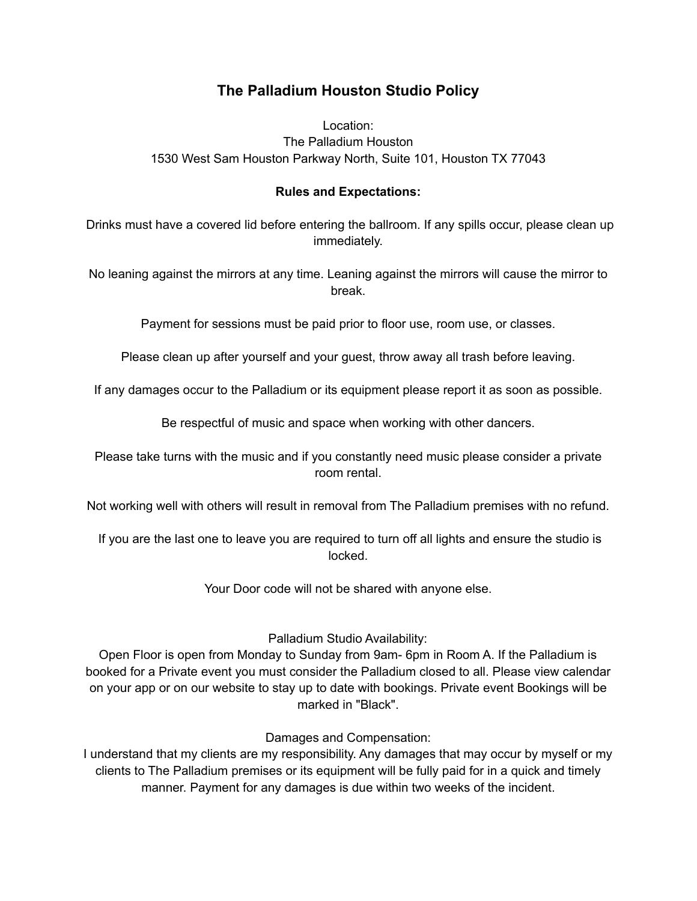## **The Palladium Houston Studio Policy**

## Location: The Palladium Houston 1530 West Sam Houston Parkway North, Suite 101, Houston TX 77043

## **Rules and Expectations:**

Drinks must have a covered lid before entering the ballroom. If any spills occur, please clean up immediately.

No leaning against the mirrors at any time. Leaning against the mirrors will cause the mirror to break.

Payment for sessions must be paid prior to floor use, room use, or classes.

Please clean up after yourself and your guest, throw away all trash before leaving.

If any damages occur to the Palladium or its equipment please report it as soon as possible.

Be respectful of music and space when working with other dancers.

Please take turns with the music and if you constantly need music please consider a private room rental.

Not working well with others will result in removal from The Palladium premises with no refund.

If you are the last one to leave you are required to turn off all lights and ensure the studio is locked.

Your Door code will not be shared with anyone else.

Palladium Studio Availability:

Open Floor is open from Monday to Sunday from 9am- 6pm in Room A. If the Palladium is booked for a Private event you must consider the Palladium closed to all. Please view calendar on your app or on our website to stay up to date with bookings. Private event Bookings will be marked in "Black".

Damages and Compensation:

I understand that my clients are my responsibility. Any damages that may occur by myself or my clients to The Palladium premises or its equipment will be fully paid for in a quick and timely manner. Payment for any damages is due within two weeks of the incident.